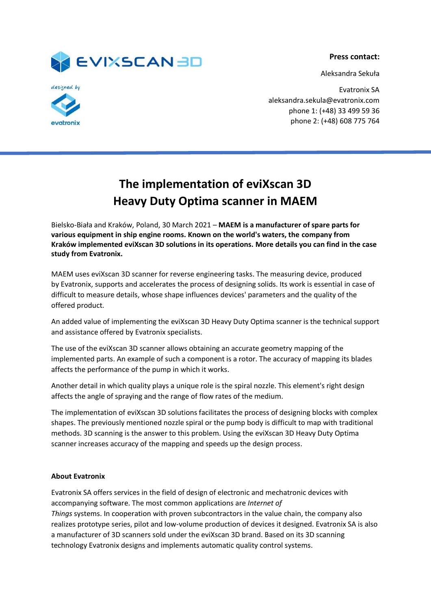**Press contact:**

Aleksandra Sekuła





Evatronix SA aleksandra.sekula@evatronix.com phone 1: (+48) 33 499 59 36 phone 2: (+48) 608 775 764

## **The implementation of eviXscan 3D Heavy Duty Optima scanner in MAEM**

Bielsko-Biała and Kraków, Poland, 30 March 2021 – **MAEM is a manufacturer of spare parts for various equipment in ship engine rooms. Known on the world's waters, the company from Kraków implemented eviXscan 3D solutions in its operations. More details you can find in the case study from Evatronix.**

MAEM uses eviXscan 3D scanner for reverse engineering tasks. The measuring device, produced by Evatronix, supports and accelerates the process of designing solids. Its work is essential in case of difficult to measure details, whose shape influences devices' parameters and the quality of the offered product.   

An added value of implementing the eviXscan 3D Heavy Duty Optima scanner is the technical support and assistance offered by Evatronix specialists.  

The use of the eviXscan 3D scanner allows obtaining an accurate geometry mapping of the implemented parts. An example of such a component is a rotor. The accuracy of mapping its blades affects the performance of the pump in which it works.   

Another detail in which quality plays a unique role is the spiral nozzle. This element's right design affects the angle of spraying and the range of flow rates of the medium.

The implementation of eviXscan 3D solutions facilitates the process of designing blocks with complex shapes. The previously mentioned nozzle spiral or the pump body is difficult to map with traditional methods. 3D scanning is the answer to this problem. Using the eviXscan 3D Heavy Duty Optima scanner increases accuracy of the mapping and speeds up the design process.  

## **About Evatronix**

Evatronix SA offers services in the field of design of electronic and mechatronic devices with accompanying software. The most common applications are *Internet of Things* systems. In cooperation with proven subcontractors in the value chain, the company also realizes prototype series, pilot and low-volume production of devices it designed. Evatronix SA is also a manufacturer of 3D scanners sold under the eviXscan 3D brand. Based on its 3D scanning technology Evatronix designs and implements automatic quality control systems.